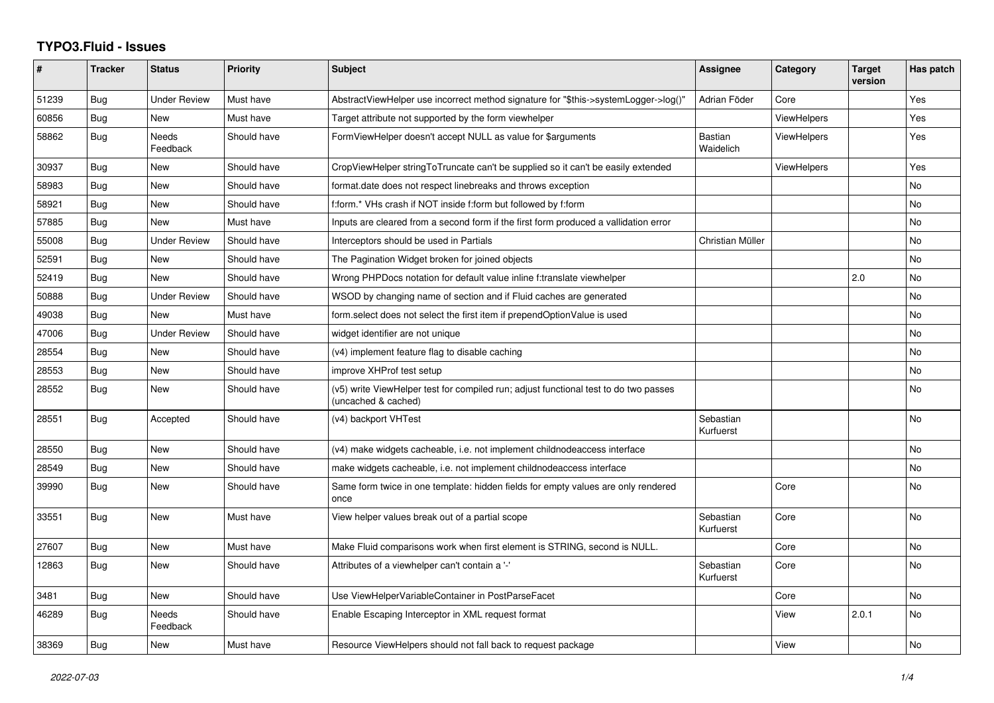## **TYPO3.Fluid - Issues**

| #     | <b>Tracker</b> | <b>Status</b>            | Priority    | Subject                                                                                                     | Assignee               | Category           | <b>Target</b><br>version | Has patch |
|-------|----------------|--------------------------|-------------|-------------------------------------------------------------------------------------------------------------|------------------------|--------------------|--------------------------|-----------|
| 51239 | Bug            | <b>Under Review</b>      | Must have   | AbstractViewHelper use incorrect method signature for "\$this->systemLogger->log()"                         | Adrian Föder           | Core               |                          | Yes       |
| 60856 | Bug            | <b>New</b>               | Must have   | Target attribute not supported by the form viewhelper                                                       |                        | <b>ViewHelpers</b> |                          | Yes       |
| 58862 | <b>Bug</b>     | <b>Needs</b><br>Feedback | Should have | FormViewHelper doesn't accept NULL as value for \$arguments                                                 | Bastian<br>Waidelich   | <b>ViewHelpers</b> |                          | Yes       |
| 30937 | <b>Bug</b>     | New                      | Should have | CropViewHelper stringToTruncate can't be supplied so it can't be easily extended                            |                        | <b>ViewHelpers</b> |                          | Yes       |
| 58983 | Bug            | <b>New</b>               | Should have | format.date does not respect linebreaks and throws exception                                                |                        |                    |                          | No        |
| 58921 | Bug            | New                      | Should have | f:form.* VHs crash if NOT inside f:form but followed by f:form                                              |                        |                    |                          | No        |
| 57885 | <b>Bug</b>     | <b>New</b>               | Must have   | Inputs are cleared from a second form if the first form produced a vallidation error                        |                        |                    |                          | No.       |
| 55008 | Bug            | <b>Under Review</b>      | Should have | Interceptors should be used in Partials                                                                     | Christian Müller       |                    |                          | No        |
| 52591 | <b>Bug</b>     | <b>New</b>               | Should have | The Pagination Widget broken for joined objects                                                             |                        |                    |                          | <b>No</b> |
| 52419 | Bug            | <b>New</b>               | Should have | Wrong PHPDocs notation for default value inline f:translate viewhelper                                      |                        |                    | 2.0                      | No        |
| 50888 | Bug            | <b>Under Review</b>      | Should have | WSOD by changing name of section and if Fluid caches are generated                                          |                        |                    |                          | No        |
| 49038 | <b>Bug</b>     | New                      | Must have   | form select does not select the first item if prependOptionValue is used                                    |                        |                    |                          | No        |
| 47006 | Bug            | <b>Under Review</b>      | Should have | widget identifier are not unique                                                                            |                        |                    |                          | No        |
| 28554 | Bug            | New                      | Should have | (v4) implement feature flag to disable caching                                                              |                        |                    |                          | No        |
| 28553 | Bug            | New                      | Should have | improve XHProf test setup                                                                                   |                        |                    |                          | No.       |
| 28552 | Bug            | New                      | Should have | (v5) write ViewHelper test for compiled run; adjust functional test to do two passes<br>(uncached & cached) |                        |                    |                          | No        |
| 28551 | Bug            | Accepted                 | Should have | (v4) backport VHTest                                                                                        | Sebastian<br>Kurfuerst |                    |                          | No        |
| 28550 | Bug            | <b>New</b>               | Should have | (v4) make widgets cacheable, i.e. not implement childnodeaccess interface                                   |                        |                    |                          | No        |
| 28549 | <b>Bug</b>     | <b>New</b>               | Should have | make widgets cacheable, i.e. not implement childnodeaccess interface                                        |                        |                    |                          | No        |
| 39990 | Bug            | New                      | Should have | Same form twice in one template: hidden fields for empty values are only rendered<br>once                   |                        | Core               |                          | No        |
| 33551 | Bug            | <b>New</b>               | Must have   | View helper values break out of a partial scope                                                             | Sebastian<br>Kurfuerst | Core               |                          | No        |
| 27607 | Bug            | <b>New</b>               | Must have   | Make Fluid comparisons work when first element is STRING, second is NULL.                                   |                        | Core               |                          | <b>No</b> |
| 12863 | Bug            | New                      | Should have | Attributes of a viewhelper can't contain a '-'                                                              | Sebastian<br>Kurfuerst | Core               |                          | No        |
| 3481  | Bug            | New                      | Should have | Use ViewHelperVariableContainer in PostParseFacet                                                           |                        | Core               |                          | No        |
| 46289 | Bug            | <b>Needs</b><br>Feedback | Should have | Enable Escaping Interceptor in XML request format                                                           |                        | View               | 2.0.1                    | <b>No</b> |
| 38369 | Bug            | <b>New</b>               | Must have   | Resource ViewHelpers should not fall back to request package                                                |                        | View               |                          | No        |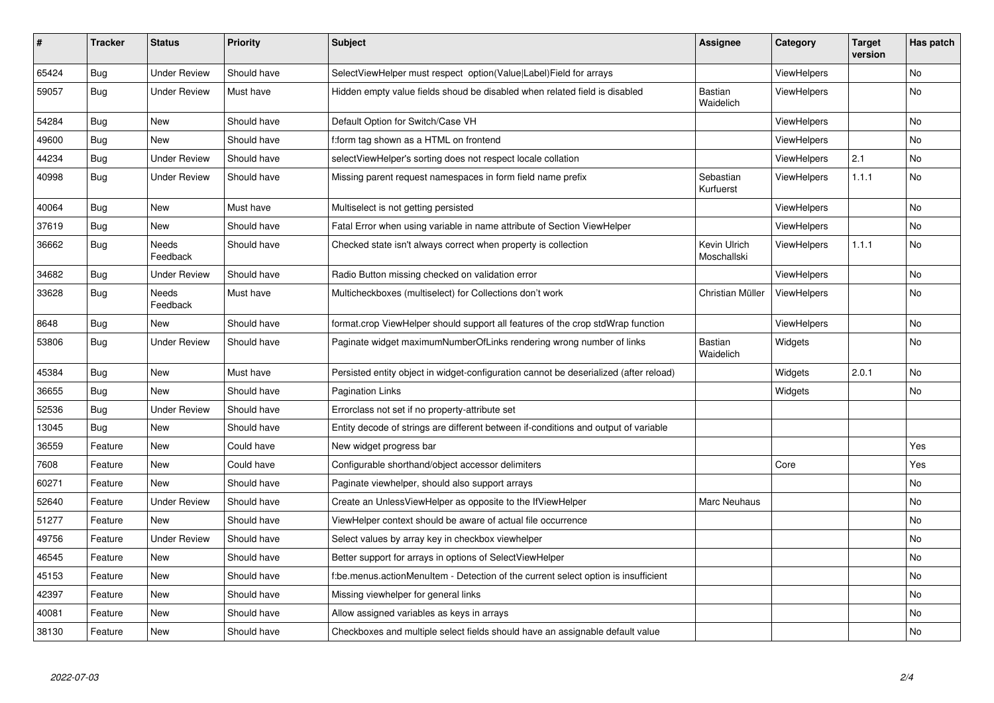| $\vert$ # | <b>Tracker</b> | <b>Status</b>       | <b>Priority</b> | <b>Subject</b>                                                                        | <b>Assignee</b>             | Category           | <b>Target</b><br>version | Has patch |
|-----------|----------------|---------------------|-----------------|---------------------------------------------------------------------------------------|-----------------------------|--------------------|--------------------------|-----------|
| 65424     | Bug            | <b>Under Review</b> | Should have     | SelectViewHelper must respect option(Value Label)Field for arrays                     |                             | ViewHelpers        |                          | <b>No</b> |
| 59057     | Bug            | Under Review        | Must have       | Hidden empty value fields shoud be disabled when related field is disabled            | Bastian<br>Waidelich        | <b>ViewHelpers</b> |                          | No.       |
| 54284     | <b>Bug</b>     | New                 | Should have     | Default Option for Switch/Case VH                                                     |                             | <b>ViewHelpers</b> |                          | <b>No</b> |
| 49600     | <b>Bug</b>     | New                 | Should have     | f:form tag shown as a HTML on frontend                                                |                             | ViewHelpers        |                          | No        |
| 44234     | <b>Bug</b>     | Under Review        | Should have     | selectViewHelper's sorting does not respect locale collation                          |                             | ViewHelpers        | 2.1                      | No        |
| 40998     | Bug            | <b>Under Review</b> | Should have     | Missing parent request namespaces in form field name prefix                           | Sebastian<br>Kurfuerst      | ViewHelpers        | 1.1.1                    | <b>No</b> |
| 40064     | <b>Bug</b>     | <b>New</b>          | Must have       | Multiselect is not getting persisted                                                  |                             | ViewHelpers        |                          | <b>No</b> |
| 37619     | Bug            | New                 | Should have     | Fatal Error when using variable in name attribute of Section ViewHelper               |                             | ViewHelpers        |                          | No        |
| 36662     | Bug            | Needs<br>Feedback   | Should have     | Checked state isn't always correct when property is collection                        | Kevin Ulrich<br>Moschallski | <b>ViewHelpers</b> | 1.1.1                    | <b>No</b> |
| 34682     | <b>Bug</b>     | <b>Under Review</b> | Should have     | Radio Button missing checked on validation error                                      |                             | <b>ViewHelpers</b> |                          | <b>No</b> |
| 33628     | Bug            | Needs<br>Feedback   | Must have       | Multicheckboxes (multiselect) for Collections don't work                              | Christian Müller            | ViewHelpers        |                          | No        |
| 8648      | Bug            | New                 | Should have     | format.crop ViewHelper should support all features of the crop stdWrap function       |                             | ViewHelpers        |                          | No        |
| 53806     | Bug            | <b>Under Review</b> | Should have     | Paginate widget maximumNumberOfLinks rendering wrong number of links                  | Bastian<br>Waidelich        | Widgets            |                          | <b>No</b> |
| 45384     | Bug            | New                 | Must have       | Persisted entity object in widget-configuration cannot be deserialized (after reload) |                             | Widgets            | 2.0.1                    | No        |
| 36655     | <b>Bug</b>     | New                 | Should have     | <b>Pagination Links</b>                                                               |                             | Widgets            |                          | <b>No</b> |
| 52536     | Bug            | Under Review        | Should have     | Errorclass not set if no property-attribute set                                       |                             |                    |                          |           |
| 13045     | Bug            | New                 | Should have     | Entity decode of strings are different between if-conditions and output of variable   |                             |                    |                          |           |
| 36559     | Feature        | New                 | Could have      | New widget progress bar                                                               |                             |                    |                          | Yes       |
| 7608      | Feature        | New                 | Could have      | Configurable shorthand/object accessor delimiters                                     |                             | Core               |                          | Yes       |
| 60271     | Feature        | <b>New</b>          | Should have     | Paginate viewhelper, should also support arrays                                       |                             |                    |                          | <b>No</b> |
| 52640     | Feature        | <b>Under Review</b> | Should have     | Create an UnlessViewHelper as opposite to the IfViewHelper                            | Marc Neuhaus                |                    |                          | <b>No</b> |
| 51277     | Feature        | <b>New</b>          | Should have     | ViewHelper context should be aware of actual file occurrence                          |                             |                    |                          | <b>No</b> |
| 49756     | Feature        | Under Review        | Should have     | Select values by array key in checkbox viewhelper                                     |                             |                    |                          | <b>No</b> |
| 46545     | Feature        | New                 | Should have     | Better support for arrays in options of SelectViewHelper                              |                             |                    |                          | No        |
| 45153     | Feature        | New                 | Should have     | f:be.menus.actionMenuItem - Detection of the current select option is insufficient    |                             |                    |                          | No        |
| 42397     | Feature        | <b>New</b>          | Should have     | Missing viewhelper for general links                                                  |                             |                    |                          | No        |
| 40081     | Feature        | New                 | Should have     | Allow assigned variables as keys in arrays                                            |                             |                    |                          | No        |
| 38130     | Feature        | <b>New</b>          | Should have     | Checkboxes and multiple select fields should have an assignable default value         |                             |                    |                          | No        |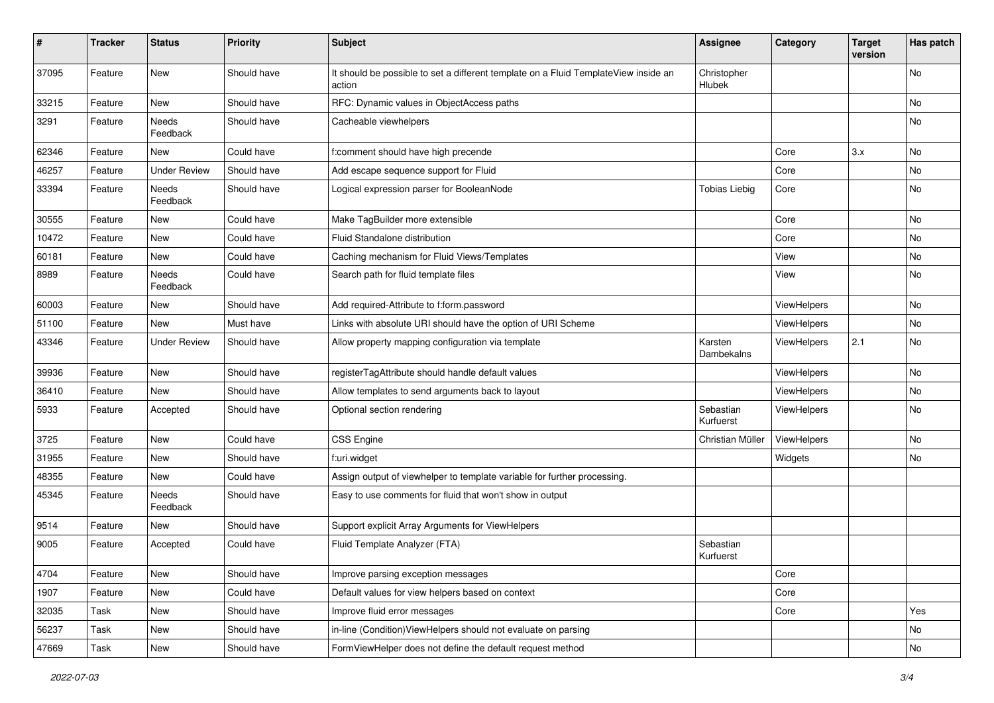| #     | <b>Tracker</b> | <b>Status</b>       | <b>Priority</b> | <b>Subject</b>                                                                                | <b>Assignee</b>        | Category    | <b>Target</b><br>version | Has patch |
|-------|----------------|---------------------|-----------------|-----------------------------------------------------------------------------------------------|------------------------|-------------|--------------------------|-----------|
| 37095 | Feature        | New                 | Should have     | It should be possible to set a different template on a Fluid TemplateView inside an<br>action | Christopher<br>Hlubek  |             |                          | <b>No</b> |
| 33215 | Feature        | New                 | Should have     | RFC: Dynamic values in ObjectAccess paths                                                     |                        |             |                          | No        |
| 3291  | Feature        | Needs<br>Feedback   | Should have     | Cacheable viewhelpers                                                                         |                        |             |                          | No        |
| 62346 | Feature        | <b>New</b>          | Could have      | f:comment should have high precende                                                           |                        | Core        | 3.x                      | <b>No</b> |
| 46257 | Feature        | <b>Under Review</b> | Should have     | Add escape sequence support for Fluid                                                         |                        | Core        |                          | No        |
| 33394 | Feature        | Needs<br>Feedback   | Should have     | Logical expression parser for BooleanNode                                                     | <b>Tobias Liebig</b>   | Core        |                          | No        |
| 30555 | Feature        | New                 | Could have      | Make TagBuilder more extensible                                                               |                        | Core        |                          | No        |
| 10472 | Feature        | New                 | Could have      | Fluid Standalone distribution                                                                 |                        | Core        |                          | No        |
| 60181 | Feature        | New                 | Could have      | Caching mechanism for Fluid Views/Templates                                                   |                        | View        |                          | No        |
| 8989  | Feature        | Needs<br>Feedback   | Could have      | Search path for fluid template files                                                          |                        | View        |                          | No        |
| 60003 | Feature        | New                 | Should have     | Add required-Attribute to f:form.password                                                     |                        | ViewHelpers |                          | No        |
| 51100 | Feature        | New                 | Must have       | Links with absolute URI should have the option of URI Scheme                                  |                        | ViewHelpers |                          | No        |
| 43346 | Feature        | <b>Under Review</b> | Should have     | Allow property mapping configuration via template                                             | Karsten<br>Dambekalns  | ViewHelpers | 2.1                      | No        |
| 39936 | Feature        | New                 | Should have     | registerTagAttribute should handle default values                                             |                        | ViewHelpers |                          | No        |
| 36410 | Feature        | New                 | Should have     | Allow templates to send arguments back to layout                                              |                        | ViewHelpers |                          | No        |
| 5933  | Feature        | Accepted            | Should have     | Optional section rendering                                                                    | Sebastian<br>Kurfuerst | ViewHelpers |                          | No        |
| 3725  | Feature        | New                 | Could have      | <b>CSS Engine</b>                                                                             | Christian Müller       | ViewHelpers |                          | No        |
| 31955 | Feature        | New                 | Should have     | f:uri.widget                                                                                  |                        | Widgets     |                          | No        |
| 48355 | Feature        | New                 | Could have      | Assign output of viewhelper to template variable for further processing.                      |                        |             |                          |           |
| 45345 | Feature        | Needs<br>Feedback   | Should have     | Easy to use comments for fluid that won't show in output                                      |                        |             |                          |           |
| 9514  | Feature        | New                 | Should have     | Support explicit Array Arguments for ViewHelpers                                              |                        |             |                          |           |
| 9005  | Feature        | Accepted            | Could have      | Fluid Template Analyzer (FTA)                                                                 | Sebastian<br>Kurfuerst |             |                          |           |
| 4704  | Feature        | New                 | Should have     | Improve parsing exception messages                                                            |                        | Core        |                          |           |
| 1907  | Feature        | New                 | Could have      | Default values for view helpers based on context                                              |                        | Core        |                          |           |
| 32035 | Task           | New                 | Should have     | Improve fluid error messages                                                                  |                        | Core        |                          | Yes       |
| 56237 | Task           | New                 | Should have     | in-line (Condition) ViewHelpers should not evaluate on parsing                                |                        |             |                          | No        |
| 47669 | Task           | New                 | Should have     | FormViewHelper does not define the default request method                                     |                        |             |                          | No        |